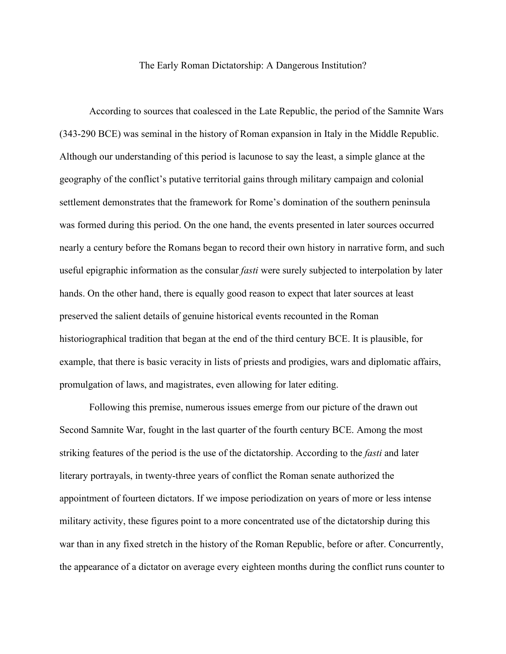## The Early Roman Dictatorship: A Dangerous Institution?

According to sources that coalesced in the Late Republic, the period of the Samnite Wars (343-290 BCE) was seminal in the history of Roman expansion in Italy in the Middle Republic. Although our understanding of this period is lacunose to say the least, a simple glance at the geography of the conflict's putative territorial gains through military campaign and colonial settlement demonstrates that the framework for Rome's domination of the southern peninsula was formed during this period. On the one hand, the events presented in later sources occurred nearly a century before the Romans began to record their own history in narrative form, and such useful epigraphic information as the consular *fasti* were surely subjected to interpolation by later hands. On the other hand, there is equally good reason to expect that later sources at least preserved the salient details of genuine historical events recounted in the Roman historiographical tradition that began at the end of the third century BCE. It is plausible, for example, that there is basic veracity in lists of priests and prodigies, wars and diplomatic affairs, promulgation of laws, and magistrates, even allowing for later editing.

Following this premise, numerous issues emerge from our picture of the drawn out Second Samnite War, fought in the last quarter of the fourth century BCE. Among the most striking features of the period is the use of the dictatorship. According to the *fasti* and later literary portrayals, in twenty-three years of conflict the Roman senate authorized the appointment of fourteen dictators. If we impose periodization on years of more or less intense military activity, these figures point to a more concentrated use of the dictatorship during this war than in any fixed stretch in the history of the Roman Republic, before or after. Concurrently, the appearance of a dictator on average every eighteen months during the conflict runs counter to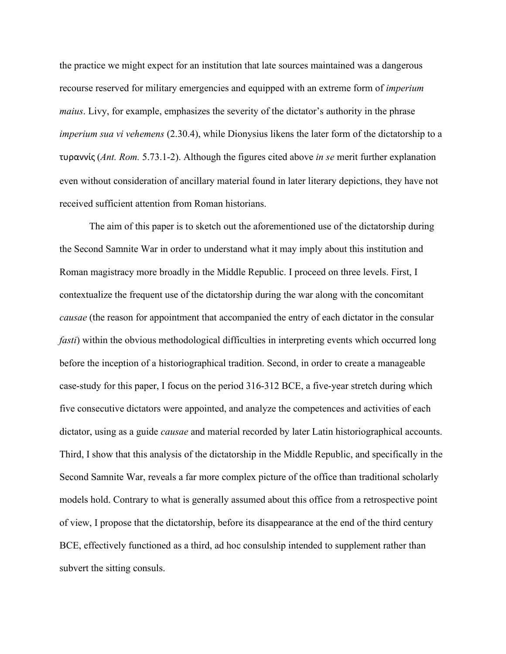the practice we might expect for an institution that late sources maintained was a dangerous recourse reserved for military emergencies and equipped with an extreme form of *imperium maius*. Livy, for example, emphasizes the severity of the dictator's authority in the phrase *imperium sua vi vehemens* (2.30.4), while Dionysius likens the later form of the dictatorship to a τυραννίς (*Ant. Rom.* 5.73.1-2). Although the figures cited above *in se* merit further explanation even without consideration of ancillary material found in later literary depictions, they have not received sufficient attention from Roman historians.

The aim of this paper is to sketch out the aforementioned use of the dictatorship during the Second Samnite War in order to understand what it may imply about this institution and Roman magistracy more broadly in the Middle Republic. I proceed on three levels. First, I contextualize the frequent use of the dictatorship during the war along with the concomitant *causae* (the reason for appointment that accompanied the entry of each dictator in the consular *fasti*) within the obvious methodological difficulties in interpreting events which occurred long before the inception of a historiographical tradition. Second, in order to create a manageable case-study for this paper, I focus on the period 316-312 BCE, a five-year stretch during which five consecutive dictators were appointed, and analyze the competences and activities of each dictator, using as a guide *causae* and material recorded by later Latin historiographical accounts. Third, I show that this analysis of the dictatorship in the Middle Republic, and specifically in the Second Samnite War, reveals a far more complex picture of the office than traditional scholarly models hold. Contrary to what is generally assumed about this office from a retrospective point of view, I propose that the dictatorship, before its disappearance at the end of the third century BCE, effectively functioned as a third, ad hoc consulship intended to supplement rather than subvert the sitting consuls.